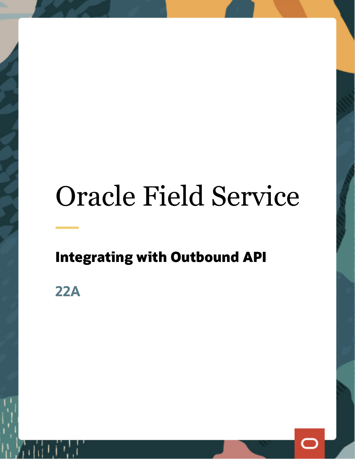# Oracle Field Service

## **Integrating with Outbound API**

**22A**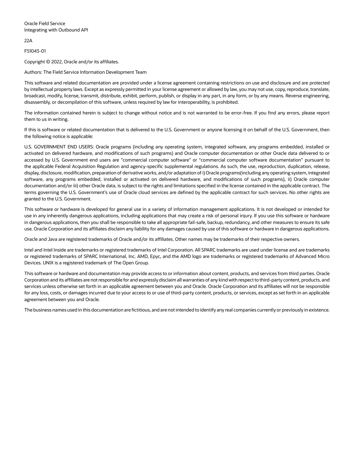22A

F51043-01

Copyright © 2022, Oracle and/or its affiliates.

Authors: The Field Service Information Development Team

This software and related documentation are provided under a license agreement containing restrictions on use and disclosure and are protected by intellectual property laws. Except as expressly permitted in your license agreement or allowed by law, you may not use, copy, reproduce, translate, broadcast, modify, license, transmit, distribute, exhibit, perform, publish, or display in any part, in any form, or by any means. Reverse engineering, disassembly, or decompilation of this software, unless required by law for interoperability, is prohibited.

The information contained herein is subject to change without notice and is not warranted to be error-free. If you find any errors, please report them to us in writing.

If this is software or related documentation that is delivered to the U.S. Government or anyone licensing it on behalf of the U.S. Government, then the following notice is applicable:

U.S. GOVERNMENT END USERS: Oracle programs (including any operating system, integrated software, any programs embedded, installed or activated on delivered hardware, and modifications of such programs) and Oracle computer documentation or other Oracle data delivered to or accessed by U.S. Government end users are "commercial computer software" or "commercial computer software documentation" pursuant to the applicable Federal Acquisition Regulation and agency-specific supplemental regulations. As such, the use, reproduction, duplication, release, display, disclosure, modification, preparation of derivative works, and/or adaptation of i) Oracle programs(including any operating system, integrated software, any programs embedded, installed or activated on delivered hardware, and modifications of such programs), ii) Oracle computer documentation and/or iii) other Oracle data, is subject to the rights and limitations specified in the license contained in the applicable contract. The terms governing the U.S. Government's use of Oracle cloud services are defined by the applicable contract for such services. No other rights are granted to the U.S. Government.

This software or hardware is developed for general use in a variety of information management applications. It is not developed or intended for use in any inherently dangerous applications, including applications that may create a risk of personal injury. If you use this software or hardware in dangerous applications, then you shall be responsible to take all appropriate fail-safe, backup, redundancy, and other measures to ensure its safe use. Oracle Corporation and its affiliates disclaim any liability for any damages caused by use of this software or hardware in dangerous applications.

Oracle and Java are registered trademarks of Oracle and/or its affiliates. Other names may be trademarks of their respective owners.

Intel and Intel Inside are trademarks or registered trademarks of Intel Corporation. All SPARC trademarks are used under license and are trademarks or registered trademarks of SPARC International, Inc. AMD, Epyc, and the AMD logo are trademarks or registered trademarks of Advanced Micro Devices. UNIX is a registered trademark of The Open Group.

This software or hardware and documentation may provide access to or information about content, products, and services from third parties. Oracle Corporation and its affiliates are not responsible for and expressly disclaim all warranties of any kind with respect to third-party content, products, and services unless otherwise set forth in an applicable agreement between you and Oracle. Oracle Corporation and its affiliates will not be responsible for any loss, costs, or damages incurred due to your access to or use of third-party content, products, or services, except as set forth in an applicable agreement between you and Oracle.

The business names used in this documentation are fictitious, and are not intended to identify any real companies currently or previously in existence.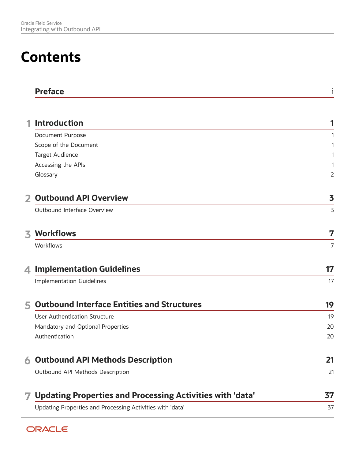## **Contents**

|   | <b>Preface</b>                                                   |                |
|---|------------------------------------------------------------------|----------------|
|   |                                                                  |                |
|   | <b>Introduction</b>                                              |                |
|   | Document Purpose                                                 | 1              |
|   | Scope of the Document                                            | 1              |
|   | <b>Target Audience</b>                                           | 1              |
|   | Accessing the APIs                                               | 1              |
|   | Glossary                                                         | $\overline{2}$ |
|   | <b>Outbound API Overview</b>                                     | 3              |
|   | Outbound Interface Overview                                      | 3              |
| 3 | <b>Workflows</b>                                                 | 7              |
|   | Workflows                                                        | 7              |
|   | <b>Implementation Guidelines</b>                                 | 17             |
|   | <b>Implementation Guidelines</b>                                 | 17             |
|   | 5 Outbound Interface Entities and Structures                     | 19             |
|   | <b>User Authentication Structure</b>                             | 19             |
|   | Mandatory and Optional Properties                                | 20             |
|   | Authentication                                                   | 20             |
| 6 | <b>Outbound API Methods Description</b>                          | 21             |
|   | Outbound API Methods Description                                 | 21             |
|   | <b>Updating Properties and Processing Activities with 'data'</b> | 37             |
|   | Updating Properties and Processing Activities with 'data'        | 37             |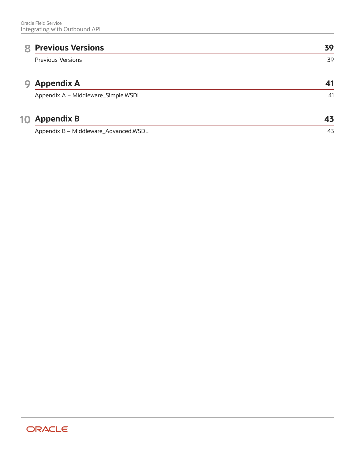### 8 Previous Versions

Previous Versions

39

39

41

41

43

43

### **9 Appendix A**

Appendix A - Middleware\_Simple.WSDL

### 10 Appendix B

Appendix B - Middleware\_Advanced.WSDL

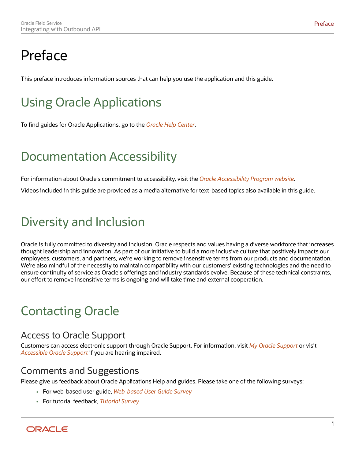## <span id="page-4-0"></span>Preface

This preface introduces information sources that can help you use the application and this guide.

## Using Oracle Applications

To find guides for Oracle Applications, go to the *[Oracle Help Center](http://docs.oracle.com/)*.

## Documentation Accessibility

For information about Oracle's commitment to accessibility, visit the *[Oracle Accessibility Program website](http://www.oracle.com/pls/topic/lookup?ctx=acc&id=docacc)*.

Videos included in this guide are provided as a media alternative for text-based topics also available in this guide.

## Diversity and Inclusion

Oracle is fully committed to diversity and inclusion. Oracle respects and values having a diverse workforce that increases thought leadership and innovation. As part of our initiative to build a more inclusive culture that positively impacts our employees, customers, and partners, we're working to remove insensitive terms from our products and documentation. We're also mindful of the necessity to maintain compatibility with our customers' existing technologies and the need to ensure continuity of service as Oracle's offerings and industry standards evolve. Because of these technical constraints, our effort to remove insensitive terms is ongoing and will take time and external cooperation.

## Contacting Oracle

### Access to Oracle Support

Customers can access electronic support through Oracle Support. For information, visit *[My Oracle Support](https://cx.rightnow.com)* or visit *[Accessible Oracle Support](http://www.oracle.com/pls/topic/lookup?ctx=acc&id=trs)* if you are hearing impaired.

### Comments and Suggestions

Please give us feedback about Oracle Applications Help and guides. Please take one of the following surveys:

- For web-based user guide, *[Web-based User Guide Survey](http://ora-gcp1.custhelp.com/ci/documents/detail/5/2295/12/369d658f1a7917d7400a4e1af2bef7eaac486b07)*
- For tutorial feedback, *[Tutorial Survey](http://ora-gcp1.custhelp.com/ci/documents/detail/5/2296/12/43f59803d4b334caea4e74d1546a10a0d99ff420)*

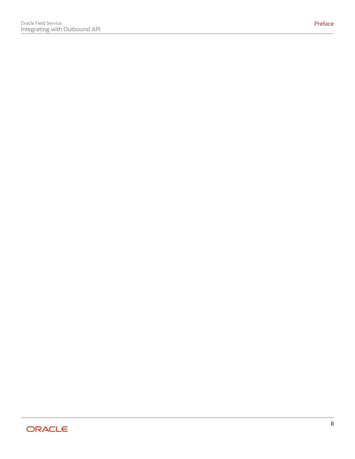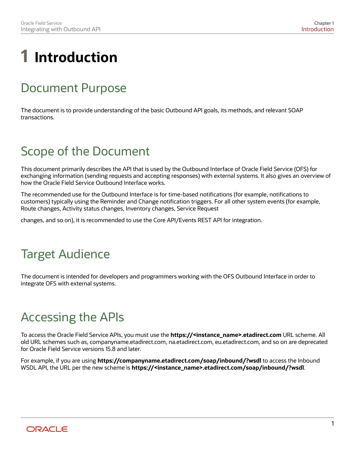## **1 Introduction**

## <span id="page-6-0"></span>Document Purpose

The document is to provide understanding of the basic Outbound API goals, its methods, and relevant SOAP transactions.

## <span id="page-6-1"></span>Scope of the Document

This document primarily describes the API that is used by the Outbound Interface of Oracle Field Service (OFS) for exchanging information (sending requests and accepting responses) with external systems. It also gives an overview of how the Oracle Field Service Outbound Interface works.

The recommended use for the Outbound Interface is for time-based notifications (for example, notifications to customers) typically using the Reminder and Change notification triggers. For all other system events (for example, Route changes, Activity status changes, Inventory changes, Service Request

changes, and so on), it is recommended to use the Core API/Events REST API for integration.

## <span id="page-6-2"></span>Target Audience

The document is intended for developers and programmers working with the OFS Outbound Interface in order to integrate OFS with external systems.

## <span id="page-6-3"></span>Accessing the APIs

To access the Oracle Field Service APIs, you must use the **https://<instance\_name>.etadirect.com** URL scheme. All old URL schemes such as, companyname.etadirect.com, na.etadirect.com, eu.etadirect.com, and so on are deprecated for Oracle Field Service versions 15.8 and later.

For example, if you are using **https://companyname.etadirect.com/soap/inbound/?wsdl** to access the Inbound WSDL API, the URL per the new scheme is **https://<instance\_name>.etadirect.com/soap/inbound/?wsdl**.

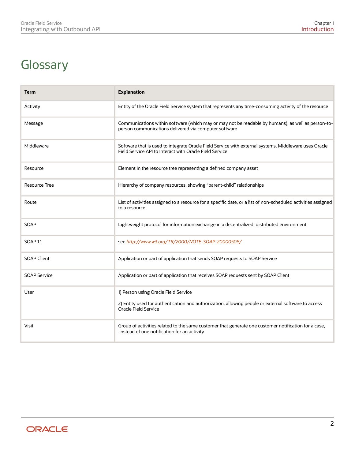## <span id="page-7-0"></span>Glossary

| <b>Term</b>         | <b>Explanation</b>                                                                                                                                               |
|---------------------|------------------------------------------------------------------------------------------------------------------------------------------------------------------|
| Activity            | Entity of the Oracle Field Service system that represents any time-consuming activity of the resource                                                            |
| Message             | Communications within software (which may or may not be readable by humans), as well as person-to-<br>person communications delivered via computer software      |
| Middleware          | Software that is used to integrate Oracle Field Service with external systems. Middleware uses Oracle<br>Field Service API to interact with Oracle Field Service |
| Resource            | Element in the resource tree representing a defined company asset                                                                                                |
| Resource Tree       | Hierarchy of company resources, showing "parent-child" relationships                                                                                             |
| Route               | List of activities assigned to a resource for a specific date, or a list of non-scheduled activities assigned<br>to a resource                                   |
| SOAP                | Lightweight protocol for information exchange in a decentralized, distributed environment                                                                        |
| <b>SOAP 1.1</b>     | see http://www.w3.org/TR/2000/NOTE-SOAP-20000508/                                                                                                                |
| <b>SOAP Client</b>  | Application or part of application that sends SOAP requests to SOAP Service                                                                                      |
| <b>SOAP Service</b> | Application or part of application that receives SOAP requests sent by SOAP Client                                                                               |
| User                | 1) Person using Oracle Field Service                                                                                                                             |
|                     | 2) Entity used for authentication and authorization, allowing people or external software to access<br><b>Oracle Field Service</b>                               |
| <b>Visit</b>        | Group of activities related to the same customer that generate one customer notification for a case,<br>instead of one notification for an activity              |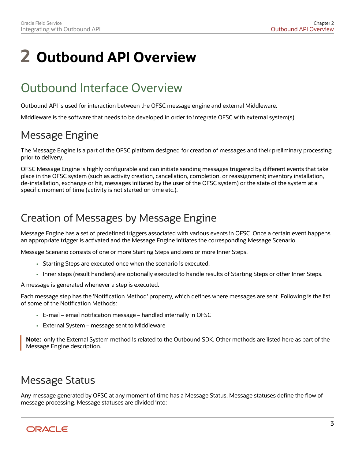## **2 Outbound API Overview**

## <span id="page-8-0"></span>Outbound Interface Overview

Outbound API is used for interaction between the OFSC message engine and external Middleware.

Middleware is the software that needs to be developed in order to integrate OFSC with external system(s).

## Message Engine

The Message Engine is a part of the OFSC platform designed for creation of messages and their preliminary processing prior to delivery.

OFSC Message Engine is highly configurable and can initiate sending messages triggered by different events that take place in the OFSC system (such as activity creation, cancellation, completion, or reassignment; inventory installation, de-installation, exchange or hit, messages initiated by the user of the OFSC system) or the state of the system at a specific moment of time (activity is not started on time etc.).

## Creation of Messages by Message Engine

Message Engine has a set of predefined triggers associated with various events in OFSC. Once a certain event happens an appropriate trigger is activated and the Message Engine initiates the corresponding Message Scenario.

Message Scenario consists of one or more Starting Steps and zero or more Inner Steps.

- Starting Steps are executed once when the scenario is executed.
- Inner steps (result handlers) are optionally executed to handle results of Starting Steps or other Inner Steps.

A message is generated whenever a step is executed.

Each message step has the 'Notification Method' property, which defines where messages are sent. Following is the list of some of the Notification Methods:

- E-mail email notification message handled internally in OFSC
- External System message sent to Middleware

**Note:** only the External System method is related to the Outbound SDK. Other methods are listed here as part of the Message Engine description.

## Message Status

Any message generated by OFSC at any moment of time has a Message Status. Message statuses define the flow of message processing. Message statuses are divided into:

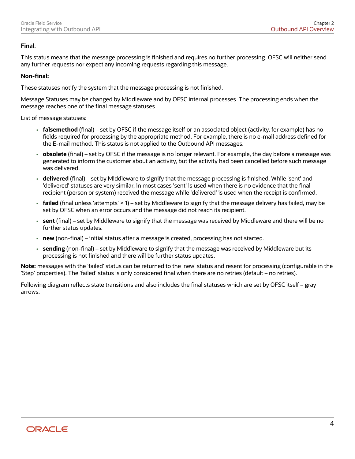#### **Final**:

This status means that the message processing is finished and requires no further processing. OFSC will neither send any further requests nor expect any incoming requests regarding this message.

#### **Non-final:**

These statuses notify the system that the message processing is not finished.

Message Statuses may be changed by Middleware and by OFSC internal processes. The processing ends when the message reaches one of the final message statuses.

List of message statuses:

- **falsemethod** (final) set by OFSC if the message itself or an associated object (activity, for example) has no fields required for processing by the appropriate method. For example, there is no e-mail address defined for the E-mail method. This status is not applied to the Outbound API messages.
- **obsolete** (final) set by OFSC if the message is no longer relevant. For example, the day before a message was generated to inform the customer about an activity, but the activity had been cancelled before such message was delivered.
- **delivered** (final) set by Middleware to signify that the message processing is finished. While 'sent' and 'delivered' statuses are very similar, in most cases 'sent' is used when there is no evidence that the final recipient (person or system) received the message while 'delivered' is used when the receipt is confirmed.
- **failed** (final unless 'attempts' > 1) set by Middleware to signify that the message delivery has failed, may be set by OFSC when an error occurs and the message did not reach its recipient.
- **sent** (final) set by Middleware to signify that the message was received by Middleware and there will be no further status updates.
- **new** (non-final) initial status after a message is created, processing has not started.
- **sending** (non-final) set by Middleware to signify that the message was received by Middleware but its processing is not finished and there will be further status updates.

**Note:** messages with the 'failed' status can be returned to the 'new' status and resent for processing (configurable in the 'Step' properties). The 'failed' status is only considered final when there are no retries (default – no retries).

Following diagram reflects state transitions and also includes the final statuses which are set by OFSC itself – gray arrows.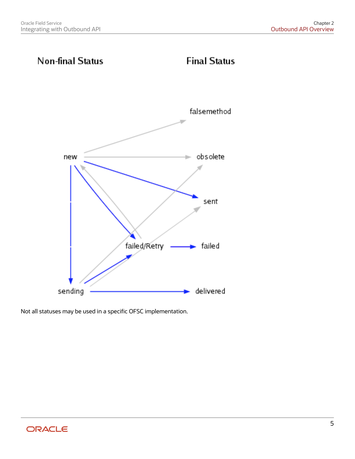

Not all statuses may be used in a specific OFSC implementation.

### ORACLE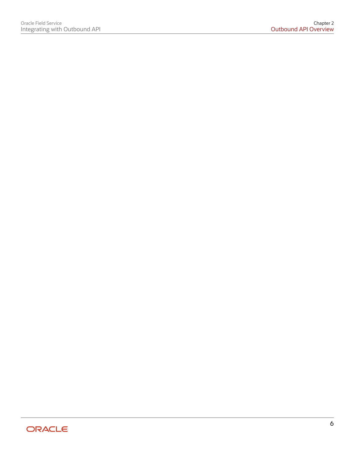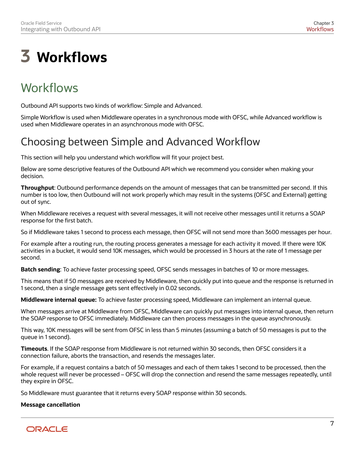## **3 Workflows**

## <span id="page-12-0"></span>**Workflows**

Outbound API supports two kinds of workflow: Simple and Advanced.

Simple Workflow is used when Middleware operates in a synchronous mode with OFSC, while Advanced workflow is used when Middleware operates in an asynchronous mode with OFSC.

## Choosing between Simple and Advanced Workflow

This section will help you understand which workflow will fit your project best.

Below are some descriptive features of the Outbound API which we recommend you consider when making your decision.

**Throughput**: Outbound performance depends on the amount of messages that can be transmitted per second. If this number is too low, then Outbound will not work properly which may result in the systems (OFSC and External) getting out of sync.

When Middleware receives a request with several messages, it will not receive other messages until it returns a SOAP response for the first batch.

So if Middleware takes 1 second to process each message, then OFSC will not send more than 3600 messages per hour.

For example after a routing run, the routing process generates a message for each activity it moved. If there were 10K activities in a bucket, it would send 10K messages, which would be processed in 3 hours at the rate of 1 message per second.

**Batch sending**: To achieve faster processing speed, OFSC sends messages in batches of 10 or more messages.

This means that if 50 messages are received by Middleware, then quickly put into queue and the response is returned in 1 second, then a single message gets sent effectively in 0.02 seconds.

**Middleware internal queue:** To achieve faster processing speed, Middleware can implement an internal queue.

When messages arrive at Middleware from OFSC, Middleware can quickly put messages into internal queue, then return the SOAP response to OFSC immediately. Middleware can then process messages in the queue asynchronously.

This way, 10K messages will be sent from OFSC in less than 5 minutes (assuming a batch of 50 messages is put to the queue in 1 second).

**Timeouts**. If the SOAP response from Middleware is not returned within 30 seconds, then OFSC considers it a connection failure, aborts the transaction, and resends the messages later.

For example, if a request contains a batch of 50 messages and each of them takes 1 second to be processed, then the whole request will never be processed – OFSC will drop the connection and resend the same messages repeatedly, until they expire in OFSC.

So Middleware must guarantee that it returns every SOAP response within 30 seconds.

#### **Message cancellation**

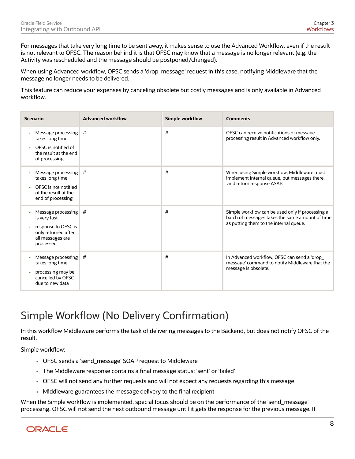For messages that take very long time to be sent away, it makes sense to use the Advanced Workflow, even if the result is not relevant to OFSC. The reason behind it is that OFSC may know that a message is no longer relevant (e.g. the Activity was rescheduled and the message should be postponed/changed).

When using Advanced workflow, OFSC sends a 'drop\_message' request in this case, notifying Middleware that the message no longer needs to be delivered.

This feature can reduce your expenses by canceling obsolete but costly messages and is only available in Advanced workflow.

| <b>Scenario</b>                                                                                                       | <b>Advanced workflow</b> | <b>Simple workflow</b> | <b>Comments</b>                                                                                                                               |
|-----------------------------------------------------------------------------------------------------------------------|--------------------------|------------------------|-----------------------------------------------------------------------------------------------------------------------------------------------|
| Message processing<br>takes long time<br>OFSC is notified of<br>the result at the end<br>of processing                | #                        | #                      | OFSC can receive notifications of message<br>processing result in Advanced workflow only.                                                     |
| Message processing<br>takes long time<br>OFSC is not notified<br>of the result at the<br>end of processing            | #                        | #                      | When using Simple workflow, Middleware must<br>implement internal queue, put messages there,<br>and return response ASAP.                     |
| Message processing $#$<br>is very fast<br>response to OFSC is<br>only returned after<br>all messages are<br>processed |                          | #                      | Simple workflow can be used only if processing a<br>batch of messages takes the same amount of time<br>as putting them to the internal queue. |
| Message processing<br>takes long time<br>processing may be<br>cancelled by OFSC<br>due to new data                    | #                        | #                      | In Advanced workflow, OFSC can send a 'drop<br>message' command to notify Middleware that the<br>message is obsolete.                         |

## Simple Workflow (No Delivery Confirmation)

In this workflow Middleware performs the task of delivering messages to the Backend, but does not notify OFSC of the result.

Simple workflow:

- OFSC sends a 'send\_message' SOAP request to Middleware
- The Middleware response contains a final message status: 'sent' or 'failed'
- OFSC will not send any further requests and will not expect any requests regarding this message
- Middleware guarantees the message delivery to the final recipient

When the Simple workflow is implemented, special focus should be on the performance of the 'send\_message' processing. OFSC will not send the next outbound message until it gets the response for the previous message. If

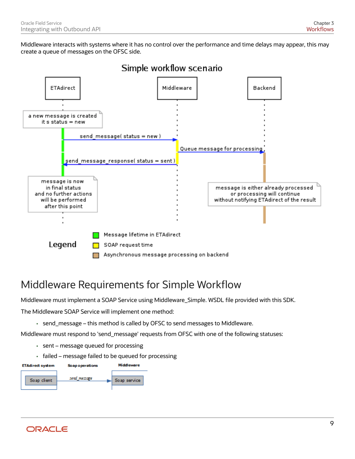Middleware interacts with systems where it has no control over the performance and time delays may appear, this may create a queue of messages on the OFSC side.



## Middleware Requirements for Simple Workflow

Middleware must implement a SOAP Service using Middleware\_Simple. WSDL file provided with this SDK.

The Middleware SOAP Service will implement one method:

• send\_message – this method is called by OFSC to send messages to Middleware.

Middleware must respond to 'send\_message' requests from OFSC with one of the following statuses:

- sent message queued for processing
- failed message failed to be queued for processing



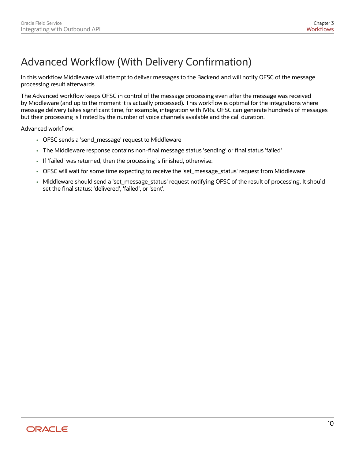## Advanced Workflow (With Delivery Confirmation)

In this workflow Middleware will attempt to deliver messages to the Backend and will notify OFSC of the message processing result afterwards.

The Advanced workflow keeps OFSC in control of the message processing even after the message was received by Middleware (and up to the moment it is actually processed). This workflow is optimal for the integrations where message delivery takes significant time, for example, integration with IVRs. OFSC can generate hundreds of messages but their processing is limited by the number of voice channels available and the call duration.

Advanced workflow:

- OFSC sends a 'send\_message' request to Middleware
- The Middleware response contains non-final message status 'sending' or final status 'failed'
- If 'failed' was returned, then the processing is finished, otherwise:
- OFSC will wait for some time expecting to receive the 'set\_message\_status' request from Middleware
- Middleware should send a 'set\_message\_status' request notifying OFSC of the result of processing. It should set the final status: 'delivered', 'failed', or 'sent'.

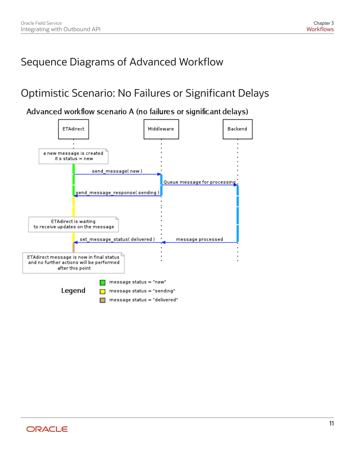## Sequence Diagrams of Advanced Workflow

## Optimistic Scenario: No Failures or Significant Delays

### Advanced workflow scenario A (no failures or significant delays)



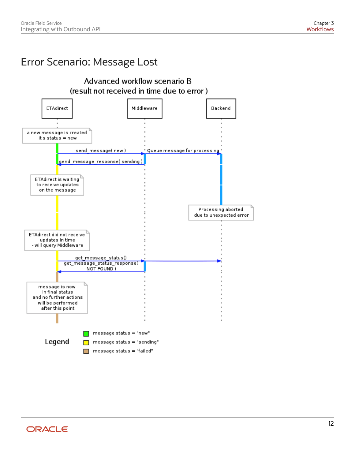### Error Scenario: Message Lost



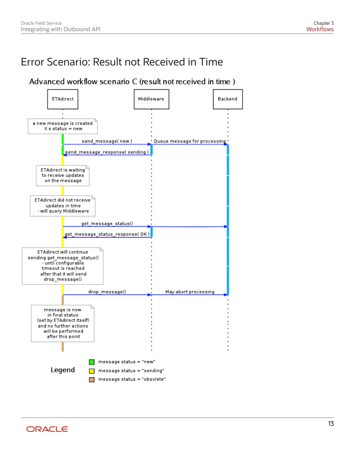## Error Scenario: Result not Received in Time

### Advanced workflow scenario C (result not received in time)

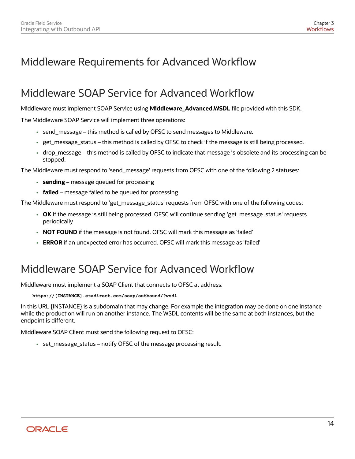## Middleware Requirements for Advanced Workflow

### Middleware SOAP Service for Advanced Workflow

Middleware must implement SOAP Service using **Middleware\_Advanced.WSDL** file provided with this SDK.

The Middleware SOAP Service will implement three operations:

- send\_message this method is called by OFSC to send messages to Middleware.
- get\_message\_status this method is called by OFSC to check if the message is still being processed.
- drop\_message this method is called by OFSC to indicate that message is obsolete and its processing can be stopped.

The Middleware must respond to 'send message' requests from OFSC with one of the following 2 statuses:

- **sending** message queued for processing
- **failed** message failed to be queued for processing

The Middleware must respond to 'get\_message\_status' requests from OFSC with one of the following codes:

- **OK** if the message is still being processed. OFSC will continue sending 'get message status' requests periodically
- **NOT FOUND** if the message is not found. OFSC will mark this message as 'failed'
- **ERROR** if an unexpected error has occurred. OFSC will mark this message as 'failed'

### Middleware SOAP Service for Advanced Workflow

Middleware must implement a SOAP Client that connects to OFSC at address:

**https://{INSTANCE}.etadirect.com/soap/outbound/?wsdl**

In this URL {INSTANCE} is a subdomain that may change. For example the integration may be done on one instance while the production will run on another instance. The WSDL contents will be the same at both instances, but the endpoint is different.

Middleware SOAP Client must send the following request to OFSC:

• set\_message\_status – notify OFSC of the message processing result.

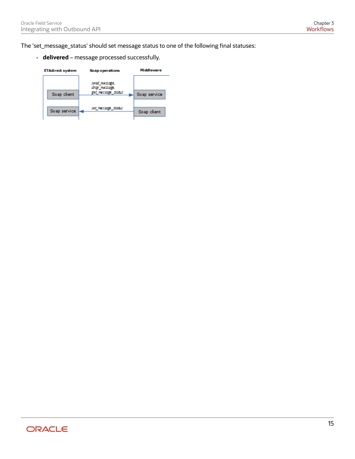The 'set\_message\_status' should set message status to one of the following final statuses:

• **delivered** – message processed successfully.



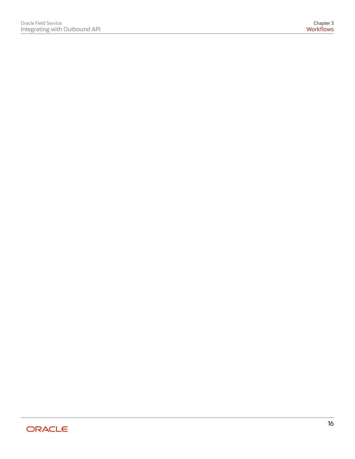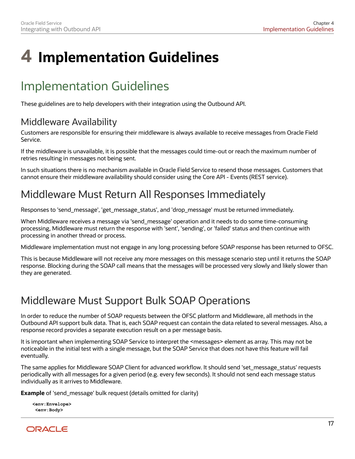## **4 Implementation Guidelines**

## <span id="page-22-0"></span>Implementation Guidelines

These guidelines are to help developers with their integration using the Outbound API.

### Middleware Availability

Customers are responsible for ensuring their middleware is always available to receive messages from Oracle Field Service.

If the middleware is unavailable, it is possible that the messages could time-out or reach the maximum number of retries resulting in messages not being sent.

In such situations there is no mechanism available in Oracle Field Service to resend those messages. Customers that cannot ensure their middleware availability should consider using the Core API - Events (REST service).

## Middleware Must Return All Responses Immediately

Responses to 'send\_message', 'get\_message\_status', and 'drop\_message' must be returned immediately.

When Middleware receives a message via 'send message' operation and it needs to do some time-consuming processing, Middleware must return the response with 'sent', 'sending', or 'failed' status and then continue with processing in another thread or process.

Middleware implementation must not engage in any long processing before SOAP response has been returned to OFSC.

This is because Middleware will not receive any more messages on this message scenario step until it returns the SOAP response. Blocking during the SOAP call means that the messages will be processed very slowly and likely slower than they are generated.

### Middleware Must Support Bulk SOAP Operations

In order to reduce the number of SOAP requests between the OFSC platform and Middleware, all methods in the Outbound API support bulk data. That is, each SOAP request can contain the data related to several messages. Also, a response record provides a separate execution result on a per message basis.

It is important when implementing SOAP Service to interpret the <messages> element as array. This may not be noticeable in the initial test with a single message, but the SOAP Service that does not have this feature will fail eventually.

The same applies for Middleware SOAP Client for advanced workflow. It should send 'set\_message\_status' requests periodically with all messages for a given period (e.g. every few seconds). It should not send each message status individually as it arrives to Middleware.

**Example** of 'send\_message' bulk request (details omitted for clarity)

```
<env:Envelope> 
  <env:Body>
```
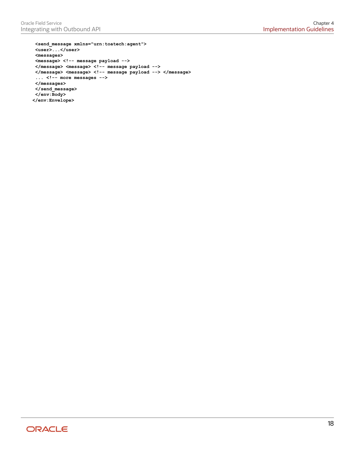```
 <send_message xmlns="urn:toatech:agent"> 
  <user>...</user> 
  <messages> 
  <message> <!-- message payload --> 
 </message> <message> <!-- message payload --> 
 </message> <message> <!-- message payload --> </message> 
  ... <!-- more messages --> 
  </messages> 
  </send_message> 
  </env:Body> 
</env:Envelope>
```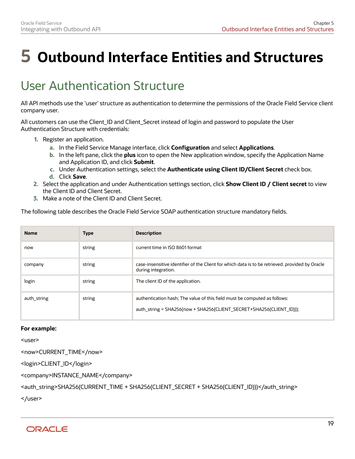## **5 Outbound Interface Entities and Structures**

## User Authentication Structure

All API methods use the 'user' structure as authentication to determine the permissions of the Oracle Field Service client company user.

All customers can use the Client\_ID and Client\_Secret instead of login and password to populate the User Authentication Structure with credentials:

- <span id="page-24-0"></span>**1.** Register an application.
	- **a.** In the Field Service Manage interface, click **Configuration** and select **Applications**.
	- **b.** In the left pane, click the **plus** icon to open the New application window, specify the Application Name and Application ID, and click **Submit**.
	- **c.** Under Authentication settings, select the **Authenticate using Client ID/Client Secret** check box.
	- **d.** Click **Save**.
- **2.** Select the application and under Authentication settings section, click **Show Client ID / Client secret** to view the Client ID and Client Secret.
- **3.** Make a note of the Client ID and Client Secret.

The following table describes the Oracle Field Service SOAP authentication structure mandatory fields.

| <b>Name</b> | <b>Type</b> | <b>Description</b>                                                                                                                                |  |
|-------------|-------------|---------------------------------------------------------------------------------------------------------------------------------------------------|--|
| now         | string      | current time in ISO 8601 format                                                                                                                   |  |
| company     | string      | case-insensitive identifier of the Client for which data is to be retrieved. provided by Oracle<br>during integration.                            |  |
| login       | string      | The client ID of the application.                                                                                                                 |  |
| auth_string | string      | authentication hash; The value of this field must be computed as follows:<br>auth_string = SHA256(now + SHA256(CLIENT_SECRET+SHA256(CLIENT_ID))); |  |

#### **For example:**

<user>

<now>CURRENT\_TIME</now>

<login>CLIENT\_ID</login>

<company>INSTANCE\_NAME</company>

<auth\_string>SHA256(CURRENT\_TIME + SHA256(CLIENT\_SECRET + SHA256(CLIENT\_ID)))</auth\_string>

</user>

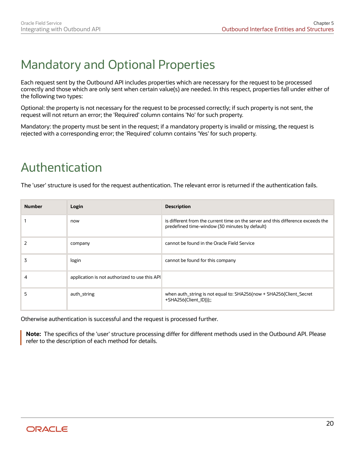## <span id="page-25-0"></span>Mandatory and Optional Properties

Each request sent by the Outbound API includes properties which are necessary for the request to be processed correctly and those which are only sent when certain value(s) are needed. In this respect, properties fall under either of the following two types:

Optional: the property is not necessary for the request to be processed correctly; if such property is not sent, the request will not return an error; the 'Required' column contains 'No' for such property.

Mandatory: the property must be sent in the request; if a mandatory property is invalid or missing, the request is rejected with a corresponding error; the 'Required' column contains 'Yes' for such property.

## <span id="page-25-1"></span>Authentication

The 'user' structure is used for the request authentication. The relevant error is returned if the authentication fails.

| <b>Number</b> | Login                                         | <b>Description</b>                                                                                                                 |
|---------------|-----------------------------------------------|------------------------------------------------------------------------------------------------------------------------------------|
|               | now                                           | is different from the current time on the server and this difference exceeds the<br>predefined time-window (30 minutes by default) |
|               | company                                       | cannot be found in the Oracle Field Service                                                                                        |
| 3             | login                                         | cannot be found for this company                                                                                                   |
|               | application is not authorized to use this API |                                                                                                                                    |
| 5             | auth_string                                   | when auth_string is not equal to: SHA256(now + SHA256(Client_Secret<br>+SHA256(Client_ID)));;                                      |

Otherwise authentication is successful and the request is processed further.

**Note:** The specifics of the 'user' structure processing differ for different methods used in the Outbound API. Please refer to the description of each method for details.

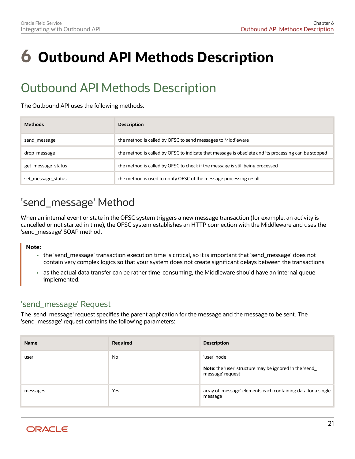## **6 Outbound API Methods Description**

## <span id="page-26-0"></span>Outbound API Methods Description

The Outbound API uses the following methods:

| <b>Methods</b>     | <b>Description</b>                                                                                  |
|--------------------|-----------------------------------------------------------------------------------------------------|
| send_message       | the method is called by OFSC to send messages to Middleware                                         |
| drop_message       | the method is called by OFSC to indicate that message is obsolete and its processing can be stopped |
| get_message_status | the method is called by OFSC to check if the message is still being processed                       |
| set_message_status | the method is used to notify OFSC of the message processing result                                  |

## 'send\_message' Method

When an internal event or state in the OFSC system triggers a new message transaction (for example, an activity is cancelled or not started in time), the OFSC system establishes an HTTP connection with the Middleware and uses the 'send\_message' SOAP method.

#### **Note:**

- the 'send\_message' transaction execution time is critical, so it is important that 'send\_message' does not contain very complex logics so that your system does not create significant delays between the transactions
- as the actual data transfer can be rather time-consuming, the Middleware should have an internal queue implemented.

### 'send\_message' Request

The 'send\_message' request specifies the parent application for the message and the message to be sent. The 'send\_message' request contains the following parameters:

| <b>Name</b> | <b>Required</b> | <b>Description</b>                                                                               |
|-------------|-----------------|--------------------------------------------------------------------------------------------------|
| user        | <b>No</b>       | 'user' node<br><b>Note:</b> the 'user' structure may be ignored in the 'send<br>message' request |
| messages    | Yes             | array of 'message' elements each containing data for a single<br>message                         |

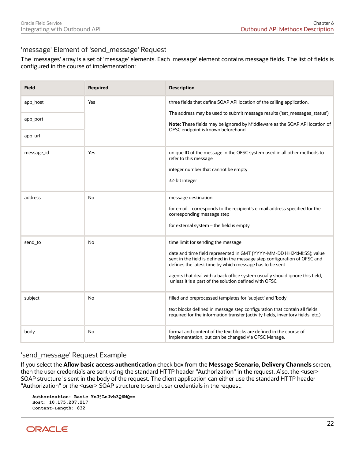### 'message' Element of 'send\_message' Request

The 'messages' array is a set of 'message' elements. Each 'message' element contains message fields. The list of fields is configured in the course of implementation:

| <b>Field</b> | <b>Required</b> | <b>Description</b>                                                                                                                                                                                                                                                                                                                                                                            |
|--------------|-----------------|-----------------------------------------------------------------------------------------------------------------------------------------------------------------------------------------------------------------------------------------------------------------------------------------------------------------------------------------------------------------------------------------------|
| app_host     | Yes             | three fields that define SOAP API location of the calling application.                                                                                                                                                                                                                                                                                                                        |
| app_port     |                 | The address may be used to submit message results ('set_messages_status')<br>Note: These fields may be ignored by Middleware as the SOAP API location of<br>OFSC endpoint is known beforehand.                                                                                                                                                                                                |
| app_url      |                 |                                                                                                                                                                                                                                                                                                                                                                                               |
| message_id   | Yes             | unique ID of the message in the OFSC system used in all other methods to<br>refer to this message<br>integer number that cannot be empty<br>32-bit integer                                                                                                                                                                                                                                    |
| address      | No              | message destination<br>for email – corresponds to the recipient's e-mail address specified for the<br>corresponding message step<br>for external system - the field is empty                                                                                                                                                                                                                  |
| send_to      | No              | time limit for sending the message<br>date and time field represented in GMT (YYYY-MM-DD HH24:MI:SS); value<br>sent in the field is defined in the message step configuration of OFSC and<br>defines the latest time by which message has to be sent<br>agents that deal with a back office system usually should ignore this field,<br>unless it is a part of the solution defined with OFSC |
| subject      | No              | filled and preprocessed templates for 'subject' and 'body'<br>text blocks defined in message step configuration that contain all fields<br>required for the information transfer (activity fields, inventory fields, etc.)                                                                                                                                                                    |
| body         | No              | format and content of the text blocks are defined in the course of<br>implementation, but can be changed via OFSC Manage.                                                                                                                                                                                                                                                                     |

### 'send\_message' Request Example

If you select the **Allow basic access authentication** check box from the **Message Scenario, Delivery Channels** screen, then the user credentials are sent using the standard HTTP header "Authorization" in the request. Also, the <user> SOAP structure is sent in the body of the request. The client application can either use the standard HTTP header "Authorization" or the <user> SOAP structure to send user credentials in the request.

```
Authorization: Basic YnJjLnJvb3Q6MQ==
Host: 10.175.207.217
Content-Length: 832
```
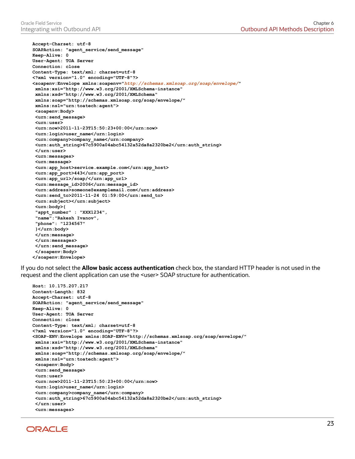```
Accept-Charset: utf-8
SOAPAction: "agent_service/send_message"
Keep-Alive: 0
User-Agent: TOA Server
Connection: close
Content-Type: text/xml; charset=utf-8
<?xml version="1.0" encoding="UTF-8"?>
<soapenv:Envelope xmlns:soapenv="http://schemas.xmlsoap.org/soap/envelope/" 
  xmlns:xsi="http://www.w3.org/2001/XMLSchema-instance"
  xmlns:xsd="http://www.w3.org/2001/XMLSchema"
  xmlns:soap="http://schemas.xmlsoap.org/soap/envelope/"
  xmlns:ns1="urn:toatech:agent"> 
  <soapenv:Body> 
  <urn:send_message> 
  <urn:user> 
  <urn:now>2011-11-23T15:50:23+00:00</urn:now> 
  <urn:login>user_name</urn:login> 
  <urn:company>company_name</urn:company>
  <urn:auth_string>67c5900a04abc54132a52da8a2320be2</urn:auth_string> 
  </urn:user> 
  <urn:messages> 
  <urn:message> 
  <urn:app_host>service.example.com</urn:app_host> 
  <urn:app_port>443</urn:app_port> 
  <urn:app_url>/soap/</urn:app_url> 
  <urn:message_id>2006</urn:message_id> 
  <urn:address>someone@examplemail.com</urn:address> 
  <urn:send_to>2011-11-24 01:59:00</urn:send_to> 
  <urn:subject></urn:subject> 
  <urn:body>{ 
  "appt_number" : "XXX1234", 
  "name":"Rakesh Ivanov", 
  "phone": "1234567" 
  }</urn:body> 
  </urn:message> 
  </urn:messages> 
  </urn:send_message> 
  </soapenv:Body> 
</soapenv:Envelope>
```
If you do not select the **Allow basic access authentication** check box, the standard HTTP header is not used in the request and the client application can use the <user> SOAP structure for authentication.

```
Host: 10.175.207.217
Content-Length: 832
Accept-Charset: utf-8
SOAPAction: "agent_service/send_message"
Keep-Alive: 0
User-Agent: TOA Server
Connection: close
Content-Type: text/xml; charset=utf-8
<?xml version="1.0" encoding="UTF-8"?>
<SOAP-ENV:Envelope xmlns:SOAP-ENV="http://schemas.xmlsoap.org/soap/envelope/"
 xmlns:xsi="http://www.w3.org/2001/XMLSchema-instance"
 xmlns:xsd="http://www.w3.org/2001/XMLSchema"
 xmlns:soap="http://schemas.xmlsoap.org/soap/envelope/"
 xmlns:ns1="urn:toatech:agent">
 <soapenv:Body> 
  <urn:send_message> 
  <urn:user> 
  <urn:now>2011-11-23T15:50:23+00:00</urn:now> 
  <urn:login>user_name</urn:login> 
 <urn:company>company_name</urn:company>
  <urn:auth_string>67c5900a04abc54132a52da8a2320be2</urn:auth_string> 
  </urn:user> 
  <urn:messages>
```
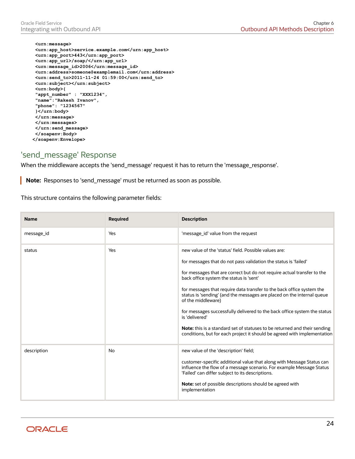**<urn:message> <urn:app\_host>service.example.com</urn:app\_host> <urn:app\_port>443</urn:app\_port> <urn:app\_url>/soap/</urn:app\_url> <urn:message\_id>2006</urn:message\_id> <urn:address>someone@examplemail.com</urn:address> <urn:send\_to>2011-11-24 01:59:00</urn:send\_to> <urn:subject></urn:subject> <urn:body>{ "appt\_number" : "XXX1234", "name":"Rakesh Ivanov", "phone": "1234567" }</urn:body> </urn:message> </urn:messages> </urn:send\_message> </soapenv:Body> </soapenv:Envelope>**

### 'send\_message' Response

When the middleware accepts the 'send\_message' request it has to return the 'message\_response'.

**Note:** Responses to 'send\_message' must be returned as soon as possible.

This structure contains the following parameter fields:

| <b>Name</b> | <b>Required</b> | <b>Description</b>                                                                                                                                                                                                                                                                                                                                                                                                                                                                                                                                                                                                                                                                    |
|-------------|-----------------|---------------------------------------------------------------------------------------------------------------------------------------------------------------------------------------------------------------------------------------------------------------------------------------------------------------------------------------------------------------------------------------------------------------------------------------------------------------------------------------------------------------------------------------------------------------------------------------------------------------------------------------------------------------------------------------|
| message_id  | Yes             | 'message_id' value from the request                                                                                                                                                                                                                                                                                                                                                                                                                                                                                                                                                                                                                                                   |
| status      | Yes             | new value of the 'status' field. Possible values are:<br>for messages that do not pass validation the status is 'failed'<br>for messages that are correct but do not require actual transfer to the<br>back office system the status is 'sent'<br>for messages that require data transfer to the back office system the<br>status is 'sending' (and the messages are placed on the internal queue<br>of the middleware)<br>for messages successfully delivered to the back office system the status<br>is 'delivered'<br><b>Note:</b> this is a standard set of statuses to be returned and their sending<br>conditions, but for each project it should be agreed with implementation |
| description | <b>No</b>       | new value of the 'description' field;<br>customer-specific additional value that along with Message Status can<br>influence the flow of a message scenario. For example Message Status<br>'Failed' can differ subject to its descriptions.<br><b>Note:</b> set of possible descriptions should be agreed with<br>implementation                                                                                                                                                                                                                                                                                                                                                       |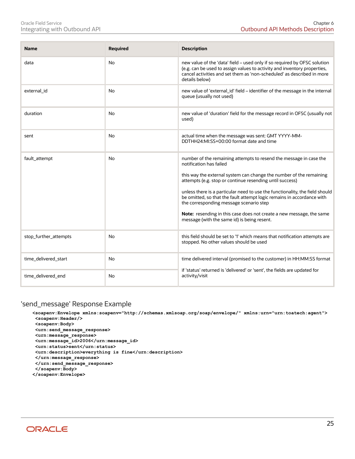| <b>Name</b>           | <b>Required</b> | <b>Description</b>                                                                                                                                                                                                                                                                                                                                                                                                                                                                                                                                           |
|-----------------------|-----------------|--------------------------------------------------------------------------------------------------------------------------------------------------------------------------------------------------------------------------------------------------------------------------------------------------------------------------------------------------------------------------------------------------------------------------------------------------------------------------------------------------------------------------------------------------------------|
| data                  | No              | new value of the 'data' field – used only if so required by OFSC solution<br>(e.g. can be used to assign values to activity and inventory properties,<br>cancel activities and set them as 'non-scheduled' as described in more<br>details below)                                                                                                                                                                                                                                                                                                            |
| external_id           | No              | new value of 'external_id' field - identifier of the message in the internal<br>queue (usually not used)                                                                                                                                                                                                                                                                                                                                                                                                                                                     |
| duration              | No              | new value of 'duration' field for the message record in OFSC (usually not<br>used)                                                                                                                                                                                                                                                                                                                                                                                                                                                                           |
| sent                  | No              | actual time when the message was sent: GMT YYYY-MM-<br>DDTHH24:MI:SS+00:00 format date and time                                                                                                                                                                                                                                                                                                                                                                                                                                                              |
| fault_attempt         | N <sub>0</sub>  | number of the remaining attempts to resend the message in case the<br>notification has failed<br>this way the external system can change the number of the remaining<br>attempts (e.g. stop or continue resending until success)<br>unless there is a particular need to use the functionality, the field should<br>be omitted, so that the fault attempt logic remains in accordance with<br>the corresponding message scenario step<br>Note: resending in this case does not create a new message, the same<br>message (with the same id) is being resent. |
| stop_further_attempts | No              | this field should be set to '1' which means that notification attempts are<br>stopped. No other values should be used                                                                                                                                                                                                                                                                                                                                                                                                                                        |
| time_delivered_start  | No              | time delivered interval (promised to the customer) in HH:MM:SS format                                                                                                                                                                                                                                                                                                                                                                                                                                                                                        |
| time_delivered_end    | No              | if 'status' returned is 'delivered' or 'sent', the fields are updated for<br>activity/visit                                                                                                                                                                                                                                                                                                                                                                                                                                                                  |

### 'send\_message' Response Example

**<soapenv:Envelope xmlns:soapenv="http://schemas.xmlsoap.org/soap/envelope/" xmlns:urn="urn:toatech:agent"> <soapenv:Header/> <soapenv:Body> <urn:send\_message\_response> <urn:message\_response> <urn:message\_id>2006</urn:message\_id> <urn:status>sent</urn:status> <urn:description>everything is fine</urn:description> </urn:message\_response> </urn:send\_message\_response> </soapenv:Body> </soapenv:Envelope>**

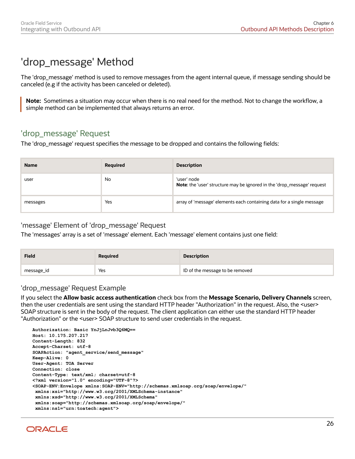## 'drop\_message' Method

The 'drop\_message' method is used to remove messages from the agent internal queue, if message sending should be canceled (e.g if the activity has been canceled or deleted).

**Note:** Sometimes a situation may occur when there is no real need for the method. Not to change the workflow, a simple method can be implemented that always returns an error.

### 'drop\_message' Request

The 'drop\_message' request specifies the message to be dropped and contains the following fields:

| Name     | <b>Required</b> | <b>Description</b>                                                                            |
|----------|-----------------|-----------------------------------------------------------------------------------------------|
| user     | No              | 'user' node<br><b>Note:</b> the 'user' structure may be ignored in the 'drop_message' request |
| messages | Yes             | array of 'message' elements each containing data for a single message                         |

### 'message' Element of 'drop\_message' Request

The 'messages' array is a set of 'message' element. Each 'message' element contains just one field:

| <b>Field</b> | <b>Required</b> | <b>Description</b>              |
|--------------|-----------------|---------------------------------|
| message_id   | Yes             | ID of the message to be removed |

### 'drop\_message' Request Example

If you select the **Allow basic access authentication** check box from the **Message Scenario, Delivery Channels** screen, then the user credentials are sent using the standard HTTP header "Authorization" in the request. Also, the <user> SOAP structure is sent in the body of the request. The client application can either use the standard HTTP header "Authorization" or the <user> SOAP structure to send user credentials in the request.

```
Authorization: Basic YnJjLnJvb3Q6MQ==
Host: 10.175.207.217
Content-Length: 832
Accept-Charset: utf-8
SOAPAction: "agent_service/send_message"
Keep-Alive: 0
User-Agent: TOA Server
Connection: close
Content-Type: text/xml; charset=utf-8
<?xml version="1.0" encoding="UTF-8"?>
<SOAP-ENV:Envelope xmlns:SOAP-ENV="http://schemas.xmlsoap.org/soap/envelope/"
 xmlns:xsi="http://www.w3.org/2001/XMLSchema-instance"
 xmlns:xsd="http://www.w3.org/2001/XMLSchema"
 xmlns:soap="http://schemas.xmlsoap.org/soap/envelope/"
 xmlns:ns1="urn:toatech:agent">
```
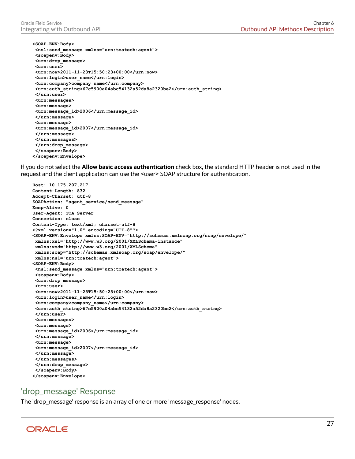```
<SOAP-ENV:Body>
 <ns1:send_message xmlns="urn:toatech:agent">
  <soapenv:Body> 
  <urn:drop_message> 
  <urn:user> 
 <urn:now>2011-11-23T15:50:23+00:00</urn:now> 
  <urn:login>user_name</urn:login> 
  <urn:company>company_name</urn:company> 
  <urn:auth_string>67c5900a04abc54132a52da8a2320be2</urn:auth_string> 
  </urn:user> 
  <urn:messages> 
  <urn:message> 
  <urn:message_id>2006</urn:message_id> 
  </urn:message> 
  <urn:message> 
  <urn:message_id>2007</urn:message_id> 
  </urn:message> 
  </urn:messages> 
  </urn:drop_message>
  </soapenv:Body> 
</soapenv:Envelope>
```
If you do not select the **Allow basic access authentication** check box, the standard HTTP header is not used in the request and the client application can use the <user> SOAP structure for authentication.

```
Host: 10.175.207.217
Content-Length: 832
Accept-Charset: utf-8
SOAPAction: "agent_service/send_message"
Keep-Alive: 0
User-Agent: TOA Server
Connection: close
Content-Type: text/xml; charset=utf-8
<?xml version="1.0" encoding="UTF-8"?>
<SOAP-ENV:Envelope xmlns:SOAP-ENV="http://schemas.xmlsoap.org/soap/envelope/"
 xmlns:xsi="http://www.w3.org/2001/XMLSchema-instance"
 xmlns:xsd="http://www.w3.org/2001/XMLSchema"
 xmlns:soap="http://schemas.xmlsoap.org/soap/envelope/"
 xmlns:ns1="urn:toatech:agent">
<SOAP-ENV:Body>
 <ns1:send_message xmlns="urn:toatech:agent">
  <soapenv:Body> 
  <urn:drop_message> 
 <urn:user> 
  <urn:now>2011-11-23T15:50:23+00:00</urn:now> 
  <urn:login>user_name</urn:login> 
  <urn:company>company_name</urn:company> 
  <urn:auth_string>67c5900a04abc54132a52da8a2320be2</urn:auth_string> 
  </urn:user> 
  <urn:messages> 
  <urn:message> 
  <urn:message_id>2006</urn:message_id> 
  </urn:message> 
  <urn:message> 
  <urn:message_id>2007</urn:message_id> 
  </urn:message> 
  </urn:messages> 
  </urn:drop_message>
  </soapenv:Body> 
</soapenv:Envelope>
```
### 'drop\_message' Response

The 'drop\_message' response is an array of one or more 'message\_response' nodes.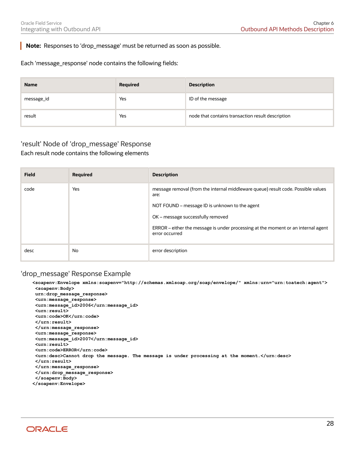#### **Note:** Responses to 'drop\_message' must be returned as soon as possible.

Each 'message\_response' node contains the following fields:

| <b>Name</b> | <b>Required</b> | <b>Description</b>                                |
|-------------|-----------------|---------------------------------------------------|
| message_id  | Yes             | ID of the message                                 |
| result      | Yes             | node that contains transaction result description |

### 'result' Node of 'drop\_message' Response Each result node contains the following elements

| <b>Field</b> | <b>Required</b> | <b>Description</b>                                                                                  |
|--------------|-----------------|-----------------------------------------------------------------------------------------------------|
| code         | Yes             | message removal (from the internal middleware queue) result code. Possible values<br>are:           |
|              |                 | NOT FOUND – message ID is unknown to the agent<br>OK – message successfully removed                 |
|              |                 |                                                                                                     |
|              |                 | ERROR – either the message is under processing at the moment or an internal agent<br>error occurred |
| desc         | <b>No</b>       | error description                                                                                   |

#### 'drop\_message' Response Example

```
<soapenv:Envelope xmlns:soapenv="http://schemas.xmlsoap.org/soap/envelope/" xmlns:urn="urn:toatech:agent"> 
 <soapenv:Body> 
 urn:drop_message_response> 
 <urn:message_response> 
  <urn:message_id>2006</urn:message_id> 
 <urn:result> 
 <urn:code>OK</urn:code> 
 </urn:result> 
 </urn:message_response> 
 <urn:message_response> 
 <urn:message_id>2007</urn:message_id> 
 <urn:result> 
  <urn:code>ERROR</urn:code> 
 <urn:desc>Cannot drop the message. The message is under processing at the moment.</urn:desc> 
 </urn:result> 
 </urn:message_response> 
 </urn:drop_message_response> 
 </soapenv:Body> 
</soapenv:Envelope>
```
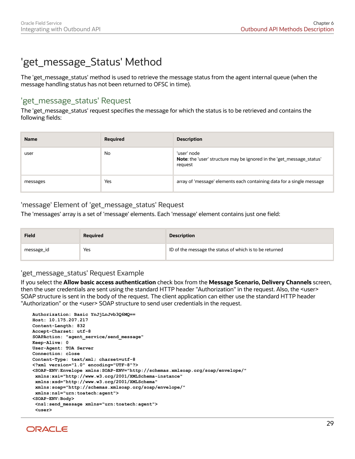### 'get\_message\_Status' Method

The 'get\_message\_status' method is used to retrieve the message status from the agent internal queue (when the message handling status has not been returned to OFSC in time).

### 'get\_message\_status' Request

The 'get\_message\_status' request specifies the message for which the status is to be retrieved and contains the following fields:

| <b>Name</b> | <b>Required</b> | <b>Description</b>                                                                              |
|-------------|-----------------|-------------------------------------------------------------------------------------------------|
| user        | <b>No</b>       | 'user' node<br>Note: the 'user' structure may be ignored in the 'get_message_status'<br>request |
| messages    | Yes             | array of 'message' elements each containing data for a single message                           |

### 'message' Element of 'get\_message\_status' Request

The 'messages' array is a set of 'message' elements. Each 'message' element contains just one field:

| <b>Field</b> | <b>Required</b> | <b>Description</b>                                      |
|--------------|-----------------|---------------------------------------------------------|
| message_id   | Yes             | ID of the message the status of which is to be returned |

### 'get\_message\_status' Request Example

If you select the **Allow basic access authentication** check box from the **Message Scenario, Delivery Channels** screen, then the user credentials are sent using the standard HTTP header "Authorization" in the request. Also, the <user> SOAP structure is sent in the body of the request. The client application can either use the standard HTTP header "Authorization" or the <user> SOAP structure to send user credentials in the request.

```
Authorization: Basic YnJjLnJvb3Q6MQ==
Host: 10.175.207.217
Content-Length: 832
Accept-Charset: utf-8
SOAPAction: "agent_service/send_message"
Keep-Alive: 0
User-Agent: TOA Server
Connection: close
Content-Type: text/xml; charset=utf-8
<?xml version="1.0" encoding="UTF-8"?>
<SOAP-ENV:Envelope xmlns:SOAP-ENV="http://schemas.xmlsoap.org/soap/envelope/"
 xmlns:xsi="http://www.w3.org/2001/XMLSchema-instance"
 xmlns:xsd="http://www.w3.org/2001/XMLSchema"
 xmlns:soap="http://schemas.xmlsoap.org/soap/envelope/"
 xmlns:ns1="urn:toatech:agent">
<SOAP-ENV:Body>
 <ns1:send_message xmlns="urn:toatech:agent">
  <user>
```
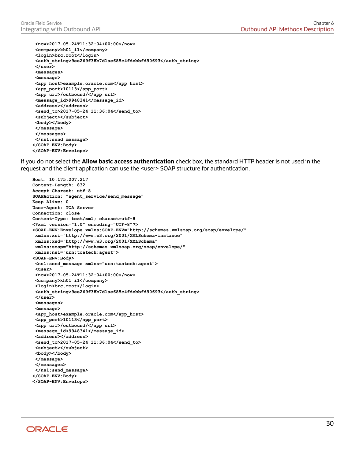```
 <now>2017-05-24T11:32:04+00:00</now>
  <company>kh01_i1</company>
  <login>brc.root</login>
  <auth_string>9ee269f38b7d1ae685c4fdebbfd90693</auth_string>
  </user>
  <messages>
  <message>
  <app_host>example.oracle.com</app_host>
  <app_port>10113</app_port>
  <app_url>/outbound/</app_url>
  <message_id>9948341</message_id>
  <address></address>
  <send_to>2017-05-24 11:36:04</send_to>
  <subject></subject>
  <body></body>
  </message>
  </messages>
 </ns1:send_message>
</SOAP-ENV:Body>
</SOAP-ENV:Envelope>
```
If you do not select the **Allow basic access authentication** check box, the standard HTTP header is not used in the request and the client application can use the <user> SOAP structure for authentication.

```
Host: 10.175.207.217
Content-Length: 832
Accept-Charset: utf-8
SOAPAction: "agent_service/send_message"
Keep-Alive: 0
User-Agent: TOA Server
Connection: close
Content-Type: text/xml; charset=utf-8
<?xml version="1.0" encoding="UTF-8"?>
<SOAP-ENV:Envelope xmlns:SOAP-ENV="http://schemas.xmlsoap.org/soap/envelope/"
 xmlns:xsi="http://www.w3.org/2001/XMLSchema-instance"
 xmlns:xsd="http://www.w3.org/2001/XMLSchema"
 xmlns:soap="http://schemas.xmlsoap.org/soap/envelope/"
 xmlns:ns1="urn:toatech:agent">
<SOAP-ENV:Body>
  <ns1:send_message xmlns="urn:toatech:agent">
  <user>
  <now>2017-05-24T11:32:04+00:00</now>
  <company>kh01_i1</company>
  <login>brc.root</login>
  <auth_string>9ee269f38b7d1ae685c4fdebbfd90693</auth_string>
  </user>
  <messages>
  <message>
  <app_host>example.oracle.com</app_host>
  <app_port>10113</app_port>
  <app_url>/outbound/</app_url>
  <message_id>9948341</message_id>
  <address></address>
  <send_to>2017-05-24 11:36:04</send_to>
  <subject></subject>
  <body></body>
  </message>
  </messages>
  </ns1:send_message>
</SOAP-ENV:Body>
</SOAP-ENV:Envelope>
```
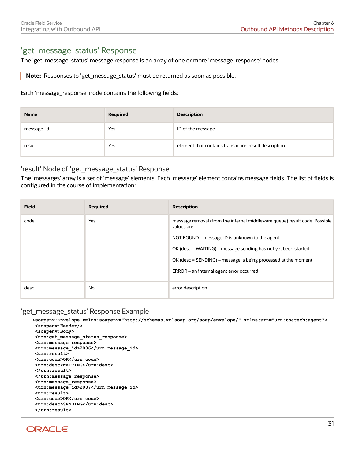### 'get\_message\_status' Response

The 'get\_message\_status' message response is an array of one or more 'message\_response' nodes.

**Note:** Responses to 'get\_message\_status' must be returned as soon as possible.

Each 'message\_response' node contains the following fields:

| <b>Name</b> | <b>Required</b> | <b>Description</b>                                   |
|-------------|-----------------|------------------------------------------------------|
| message_id  | Yes             | ID of the message                                    |
| result      | Yes             | element that contains transaction result description |

#### 'result' Node of 'get\_message\_status' Response

The 'messages' array is a set of 'message' elements. Each 'message' element contains message fields. The list of fields is configured in the course of implementation:

| <b>Field</b> | <b>Required</b> | <b>Description</b>                                                                                                                                                                                                                                                                                                          |
|--------------|-----------------|-----------------------------------------------------------------------------------------------------------------------------------------------------------------------------------------------------------------------------------------------------------------------------------------------------------------------------|
| code         | Yes             | message removal (from the internal middleware queue) result code. Possible<br>values are:<br>NOT FOUND – message ID is unknown to the agent<br>OK (desc = WAITING) – message sending has not yet been started<br>OK (desc = SENDING) – message is being processed at the moment<br>ERROR - an internal agent error occurred |
| desc         | <b>No</b>       | error description                                                                                                                                                                                                                                                                                                           |

#### 'get\_message\_status' Response Example

**<soapenv:Envelope xmlns:soapenv="http://schemas.xmlsoap.org/soap/envelope/" xmlns:urn="urn:toatech:agent"> <soapenv:Header/> <soapenv:Body> <urn:get\_message\_status\_response> <urn:message\_response> <urn:message\_id>2006</urn:message\_id> <urn:result> <urn:code>OK</urn:code> <urn:desc>WAITING</urn:desc> </urn:result> </urn:message\_response> <urn:message\_response> <urn:message\_id>2007</urn:message\_id> <urn:result> <urn:code>OK</urn:code> <urn:desc>SENDING</urn:desc> </urn:result>** 

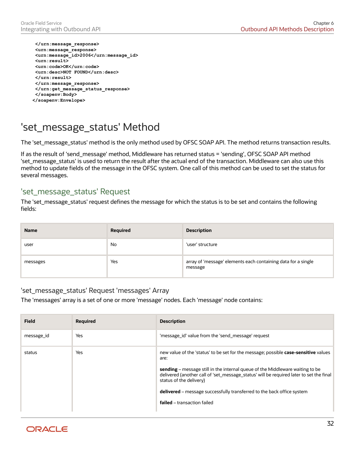```
 </urn:message_response> 
  <urn:message_response> 
  <urn:message_id>2006</urn:message_id> 
  <urn:result> 
  <urn:code>OK</urn:code> 
  <urn:desc>NOT FOUND</urn:desc> 
 </urn:result> 
 </urn:message_response> 
 </urn:get_message_status_response> 
  </soapenv:Body> 
</soapenv:Envelope>
```
### 'set\_message\_status' Method

The 'set\_message\_status' method is the only method used by OFSC SOAP API. The method returns transaction results.

If as the result of 'send\_message' method, Middleware has returned status = 'sending', OFSC SOAP API method 'set\_message\_status' is used to return the result after the actual end of the transaction. Middleware can also use this method to update fields of the message in the OFSC system. One call of this method can be used to set the status for several messages.

### 'set\_message\_status' Request

The 'set\_message\_status' request defines the message for which the status is to be set and contains the following fields:

| <b>Name</b> | <b>Required</b> | <b>Description</b>                                                       |
|-------------|-----------------|--------------------------------------------------------------------------|
| user        | <b>No</b>       | 'user' structure                                                         |
| messages    | Yes             | array of 'message' elements each containing data for a single<br>message |

#### 'set\_message\_status' Request 'messages' Array

The 'messages' array is a set of one or more 'message' nodes. Each 'message' node contains:

| <b>Field</b> | <b>Required</b> | <b>Description</b>                                                                                                                                                                                                                                                                                                                                                                                                               |
|--------------|-----------------|----------------------------------------------------------------------------------------------------------------------------------------------------------------------------------------------------------------------------------------------------------------------------------------------------------------------------------------------------------------------------------------------------------------------------------|
| message_id   | Yes             | 'message id' value from the 'send message' request                                                                                                                                                                                                                                                                                                                                                                               |
| status       | Yes             | new value of the 'status' to be set for the message; possible case-sensitive values<br>are:<br><b>sending</b> – message still in the internal queue of the Middleware waiting to be<br>delivered (another call of 'set_message_status' will be required later to set the final<br>status of the delivery)<br><b>delivered</b> – message successfully transferred to the back office system<br><b>failed</b> – transaction failed |

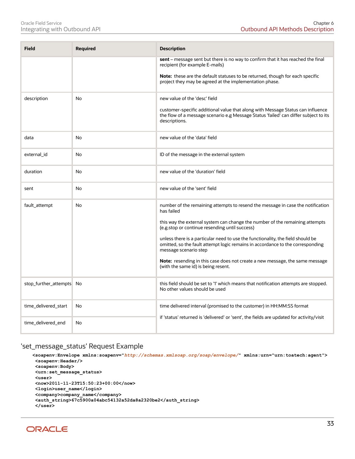| <b>Field</b>             | <b>Required</b> | <b>Description</b>                                                                                                                                                                         |
|--------------------------|-----------------|--------------------------------------------------------------------------------------------------------------------------------------------------------------------------------------------|
|                          |                 | <b>sent</b> – message sent but there is no way to confirm that it has reached the final<br>recipient (for example E-mails)                                                                 |
|                          |                 | <b>Note:</b> these are the default statuses to be returned, though for each specific<br>project they may be agreed at the implementation phase.                                            |
| description              | No              | new value of the 'desc' field                                                                                                                                                              |
|                          |                 | customer-specific additional value that along with Message Status can influence<br>the flow of a message scenario e.g Message Status 'failed' can differ subject to its<br>descriptions.   |
| data                     | No              | new value of the 'data' field                                                                                                                                                              |
| external_id              | No              | ID of the message in the external system                                                                                                                                                   |
| duration                 | No              | new value of the 'duration' field                                                                                                                                                          |
| sent                     | No              | new value of the 'sent' field                                                                                                                                                              |
| fault_attempt            | No              | number of the remaining attempts to resend the message in case the notification<br>has failed                                                                                              |
|                          |                 | this way the external system can change the number of the remaining attempts<br>(e.g.stop or continue resending until success)                                                             |
|                          |                 | unless there is a particular need to use the functionality, the field should be<br>omitted, so the fault attempt logic remains in accordance to the corresponding<br>message scenario step |
|                          |                 | <b>Note:</b> resending in this case does not create a new message, the same message<br>(with the same id) is being resent.                                                                 |
| stop_further_attempts No |                 | this field should be set to '1' which means that notification attempts are stopped.<br>No other values should be used                                                                      |
| time_delivered_start     | No              | time delivered interval (promised to the customer) in HH:MM:SS format                                                                                                                      |
| time_delivered_end       | No              | if 'status' returned is 'delivered' or 'sent', the fields are updated for activity/visit                                                                                                   |

#### 'set\_message\_status' Request Example

```
<soapenv:Envelope xmlns:soapenv="http://schemas.xmlsoap.org/soap/envelope/" xmlns:urn="urn:toatech:agent"> 
  <soapenv:Header/> 
  <soapenv:Body> 
  <urn:set_message_status> 
  <user> 
  <now>2011-11-23T15:50:23+00:00</now> 
  <login>user_name</login> 
  <company>company_name</company> 
  <auth_string>67c5900a04abc54132a52da8a2320be2</auth_string> 
  </user>
```
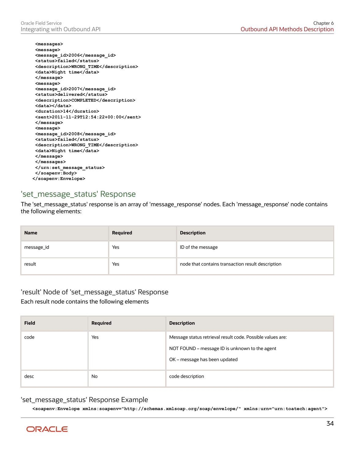**<messages> <message> <message\_id>2006</message\_id> <status>failed</status> <description>WRONG\_TIME</description> <data>Night time</data> </message> <message> <message\_id>2007</message\_id> <status>delivered</status> <description>COMPLETED</description> <data></data> <duration>14</duration> <sent>2011-11-29T12:54:22+00:00</sent> </message> <message> <message\_id>2008</message\_id> <status>failed</status> <description>WRONG\_TIME</description> <data>Night time</data> </message> </messages> </urn:set\_message\_status> </soapenv:Body> </soapenv:Envelope>**

### 'set\_message\_status' Response

The 'set\_message\_status' response is an array of 'message\_response' nodes. Each 'message\_response' node contains the following elements:

| <b>Name</b> | <b>Required</b> | <b>Description</b>                                |
|-------------|-----------------|---------------------------------------------------|
| message_id  | Yes             | ID of the message                                 |
| result      | Yes             | node that contains transaction result description |

### 'result' Node of 'set\_message\_status' Response Each result node contains the following elements

| <b>Field</b> | <b>Required</b> | <b>Description</b>                                                                                                                            |
|--------------|-----------------|-----------------------------------------------------------------------------------------------------------------------------------------------|
| code         | Yes             | Message status retrieval result code. Possible values are:<br>NOT FOUND - message ID is unknown to the agent<br>OK - message has been updated |
| desc         | <b>No</b>       | code description                                                                                                                              |

### 'set\_message\_status' Response Example

**<soapenv:Envelope xmlns:soapenv="http://schemas.xmlsoap.org/soap/envelope/" xmlns:urn="urn:toatech:agent">** 

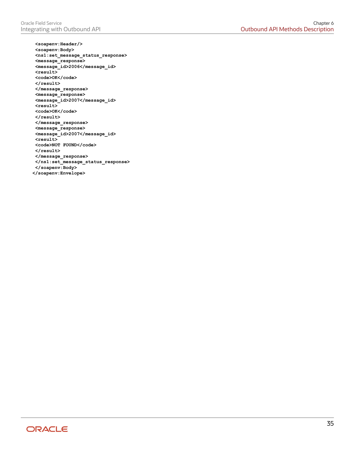**<soapenv:Header/> <soapenv:Body> <ns1:set\_message\_status\_response> <message\_response> <message\_id>2006</message\_id> <result>**   $<$ code>0K</code>  **</result> </message\_response> <message\_response> <message\_id>2007</message\_id> <result>**   $<$ code>0K</code>  **</result> </message\_response> <message\_response> <message\_id>2007</message\_id> <result>**   $<$ code>NOT FOUND</code>  **</result> </message\_response> </ns1:set\_message\_status\_response> </soapenv:Body> </soapenv:Envelope>**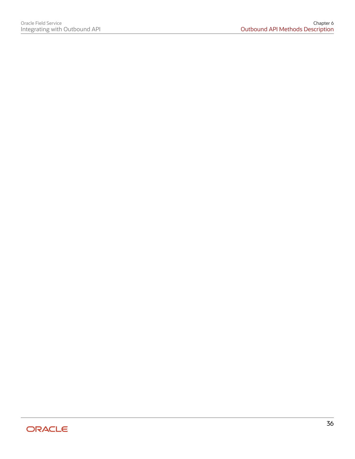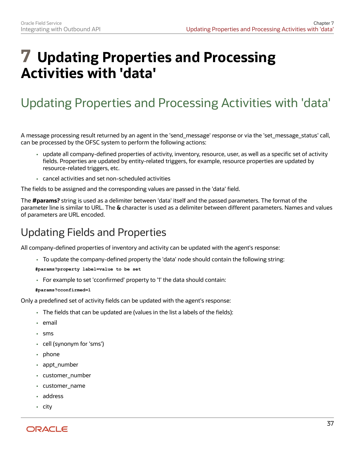## **7 Updating Properties and Processing Activities with 'data'**

## <span id="page-42-0"></span>Updating Properties and Processing Activities with 'data'

A message processing result returned by an agent in the 'send\_message' response or via the 'set\_message\_status' call, can be processed by the OFSC system to perform the following actions:

- update all company-defined properties of activity, inventory, resource, user, as well as a specific set of activity fields. Properties are updated by entity-related triggers, for example, resource properties are updated by resource-related triggers, etc.
- cancel activities and set non-scheduled activities

The fields to be assigned and the corresponding values are passed in the 'data' field.

The **#params?** string is used as a delimiter between 'data' itself and the passed parameters. The format of the parameter line is similar to URL. The **&** character is used as a delimiter between different parameters. Names and values of parameters are URL encoded.

## Updating Fields and Properties

All company-defined properties of inventory and activity can be updated with the agent's response:

• To update the company-defined property the 'data' node should contain the following string:

 **#params?property label=value to be set** 

- For example to set 'cconfirmed' property to '1' the data should contain:
- **#params?cconfirmed=1**

Only a predefined set of activity fields can be updated with the agent's response:

- The fields that can be updated are (values in the list a labels of the fields):
- email
- sms
- cell (synonym for 'sms')
- phone
- appt\_number
- customer\_number
- customer\_name
- address
- city

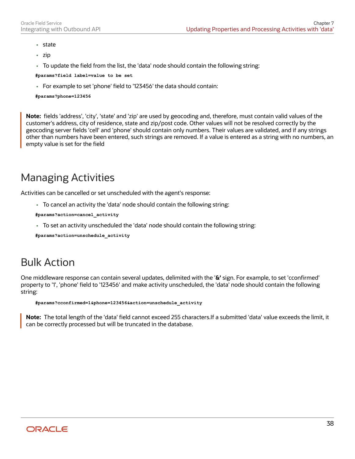- state
- zip
- To update the field from the list, the 'data' node should contain the following string:

 **#params?field label=value to be set** 

• For example to set 'phone' field to '123456' the data should contain:

 **#params?phone=123456**

**Note:** fields 'address', 'city', 'state' and 'zip' are used by geocoding and, therefore, must contain valid values of the customer's address, city of residence, state and zip/post code. Other values will not be resolved correctly by the geocoding server fields 'cell' and 'phone' should contain only numbers. Their values are validated, and if any strings other than numbers have been entered, such strings are removed. If a value is entered as a string with no numbers, an empty value is set for the field

### Managing Activities

Activities can be cancelled or set unscheduled with the agent's response:

• To cancel an activity the 'data' node should contain the following string:

 **#params?action=cancel\_activity**

• To set an activity unscheduled the 'data' node should contain the following string:

 **#params?action=unschedule\_activity**

### Bulk Action

One middleware response can contain several updates, delimited with the '**&'** sign. For example, to set 'cconfirmed' property to '1', 'phone' field to '123456' and make activity unscheduled, the 'data' node should contain the following string:

```
 #params?cconfirmed=1&phone=123456&action=unschedule_activity
```
**Note:** The total length of the 'data' field cannot exceed 255 characters.If a submitted 'data' value exceeds the limit, it can be correctly processed but will be truncated in the database.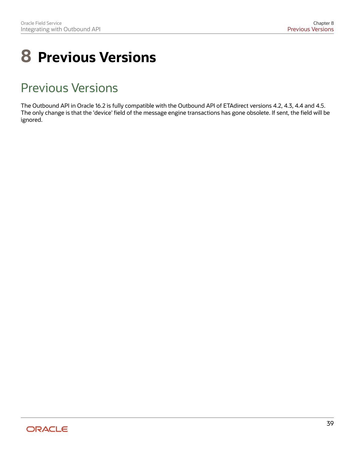## **8 Previous Versions**

## <span id="page-44-0"></span>Previous Versions

The Outbound API in Oracle 16.2 is fully compatible with the Outbound API of ETAdirect versions 4.2, 4.3, 4.4 and 4.5. The only change is that the 'device' field of the message engine transactions has gone obsolete. If sent, the field will be ignored.

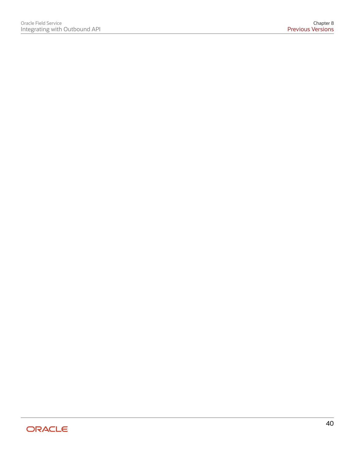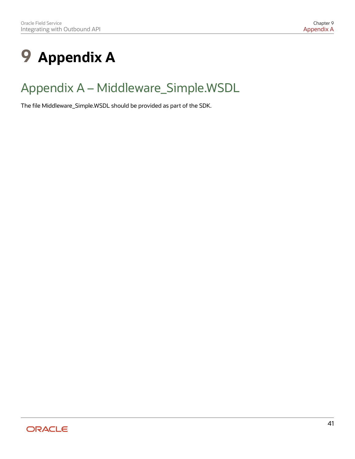## **9 Appendix A**

## <span id="page-46-0"></span>Appendix A – Middleware\_Simple.WSDL

The file Middleware\_Simple.WSDL should be provided as part of the SDK.

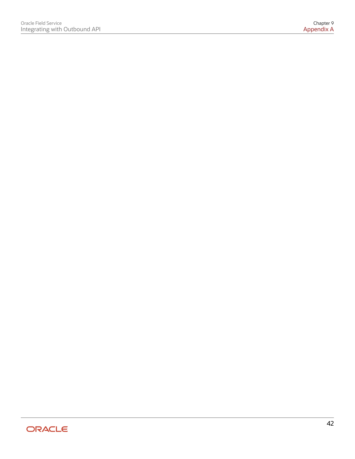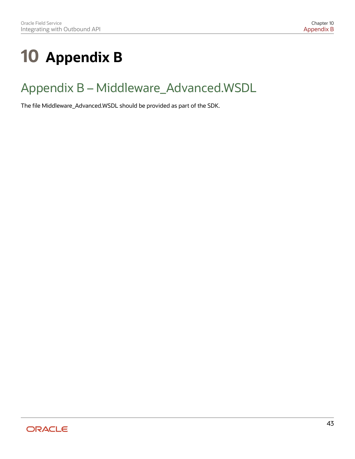## **10 Appendix B**

## <span id="page-48-0"></span>Appendix B – Middleware\_Advanced.WSDL

The file Middleware\_Advanced.WSDL should be provided as part of the SDK.

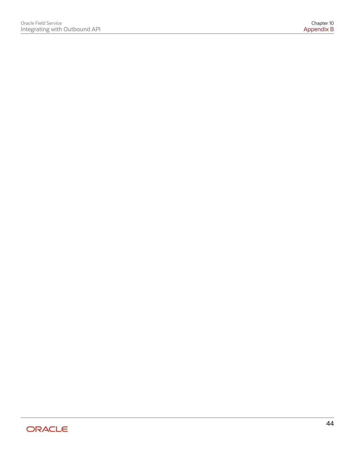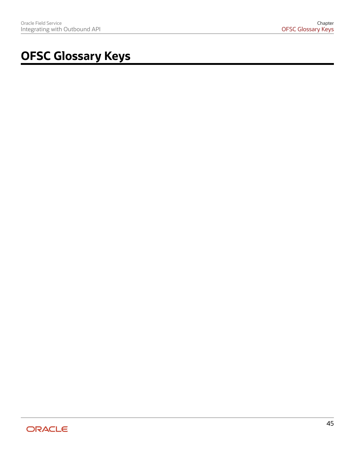## **OFSC Glossary Keys**

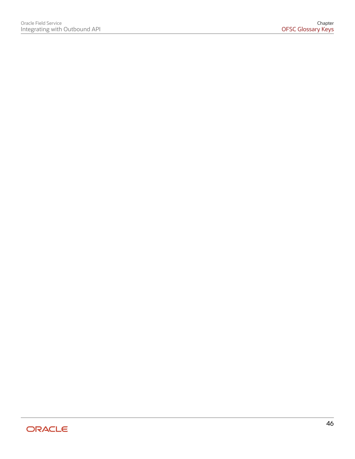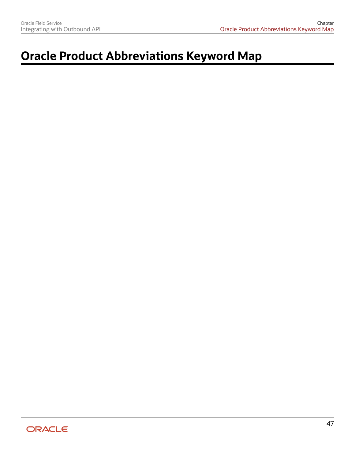## **Oracle Product Abbreviations Keyword Map**